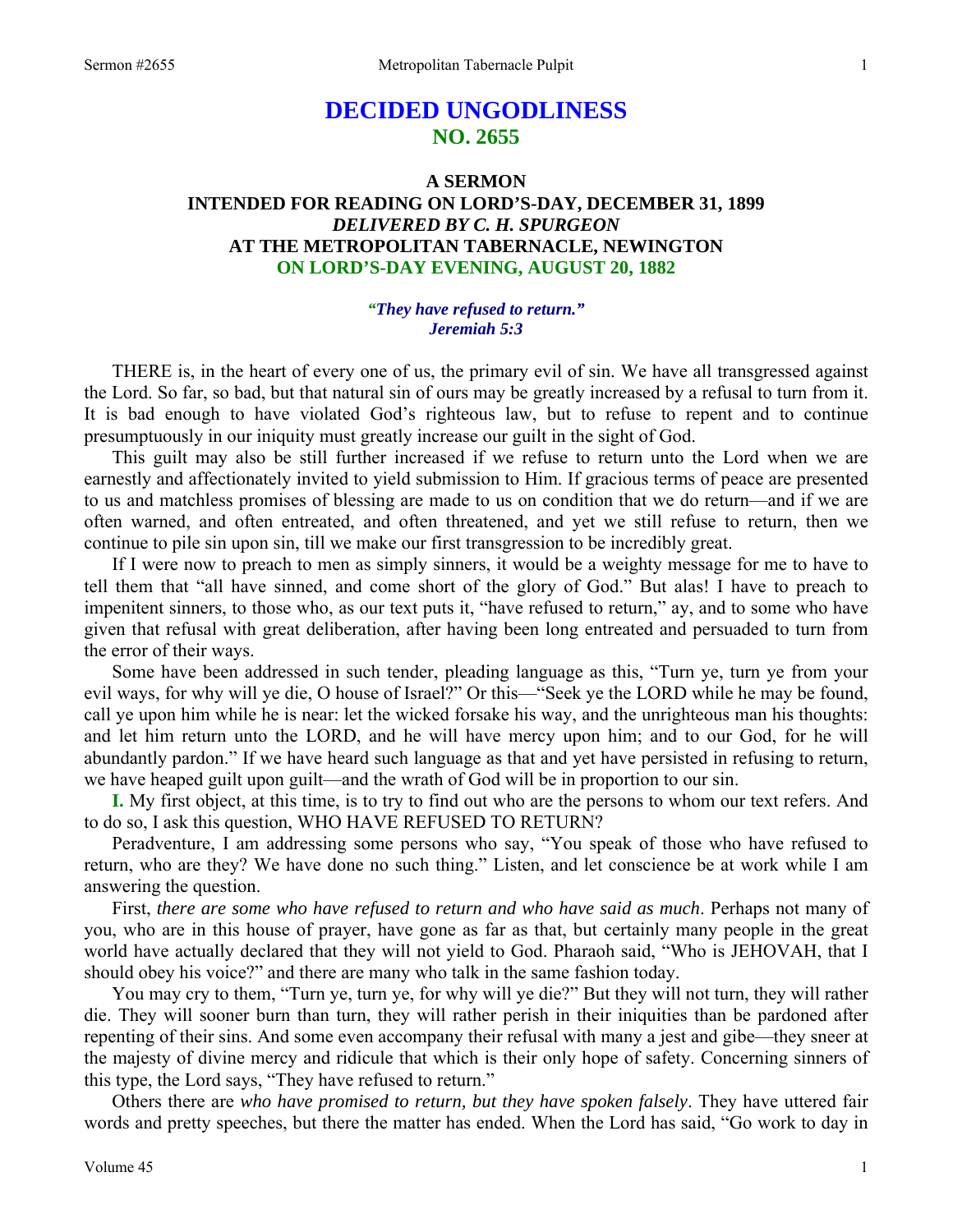# **DECIDED UNGODLINESS NO. 2655**

## **A SERMON INTENDED FOR READING ON LORD'S-DAY, DECEMBER 31, 1899**  *DELIVERED BY C. H. SPURGEON*  **AT THE METROPOLITAN TABERNACLE, NEWINGTON ON LORD'S-DAY EVENING, AUGUST 20, 1882**

### *"They have refused to return." Jeremiah 5:3*

THERE is, in the heart of every one of us, the primary evil of sin. We have all transgressed against the Lord. So far, so bad, but that natural sin of ours may be greatly increased by a refusal to turn from it. It is bad enough to have violated God's righteous law, but to refuse to repent and to continue presumptuously in our iniquity must greatly increase our guilt in the sight of God.

 This guilt may also be still further increased if we refuse to return unto the Lord when we are earnestly and affectionately invited to yield submission to Him. If gracious terms of peace are presented to us and matchless promises of blessing are made to us on condition that we do return—and if we are often warned, and often entreated, and often threatened, and yet we still refuse to return, then we continue to pile sin upon sin, till we make our first transgression to be incredibly great.

 If I were now to preach to men as simply sinners, it would be a weighty message for me to have to tell them that "all have sinned, and come short of the glory of God." But alas! I have to preach to impenitent sinners, to those who, as our text puts it, "have refused to return," ay, and to some who have given that refusal with great deliberation, after having been long entreated and persuaded to turn from the error of their ways.

 Some have been addressed in such tender, pleading language as this, "Turn ye, turn ye from your evil ways, for why will ye die, O house of Israel?" Or this—"Seek ye the LORD while he may be found, call ye upon him while he is near: let the wicked forsake his way, and the unrighteous man his thoughts: and let him return unto the LORD, and he will have mercy upon him; and to our God, for he will abundantly pardon." If we have heard such language as that and yet have persisted in refusing to return, we have heaped guilt upon guilt—and the wrath of God will be in proportion to our sin.

**I.** My first object, at this time, is to try to find out who are the persons to whom our text refers. And to do so, I ask this question, WHO HAVE REFUSED TO RETURN?

 Peradventure, I am addressing some persons who say, "You speak of those who have refused to return, who are they? We have done no such thing." Listen, and let conscience be at work while I am answering the question.

 First, *there are some who have refused to return and who have said as much*. Perhaps not many of you, who are in this house of prayer, have gone as far as that, but certainly many people in the great world have actually declared that they will not yield to God. Pharaoh said, "Who is JEHOVAH, that I should obey his voice?" and there are many who talk in the same fashion today.

 You may cry to them, "Turn ye, turn ye, for why will ye die?" But they will not turn, they will rather die. They will sooner burn than turn, they will rather perish in their iniquities than be pardoned after repenting of their sins. And some even accompany their refusal with many a jest and gibe—they sneer at the majesty of divine mercy and ridicule that which is their only hope of safety. Concerning sinners of this type, the Lord says, "They have refused to return."

 Others there are *who have promised to return, but they have spoken falsely*. They have uttered fair words and pretty speeches, but there the matter has ended. When the Lord has said, "Go work to day in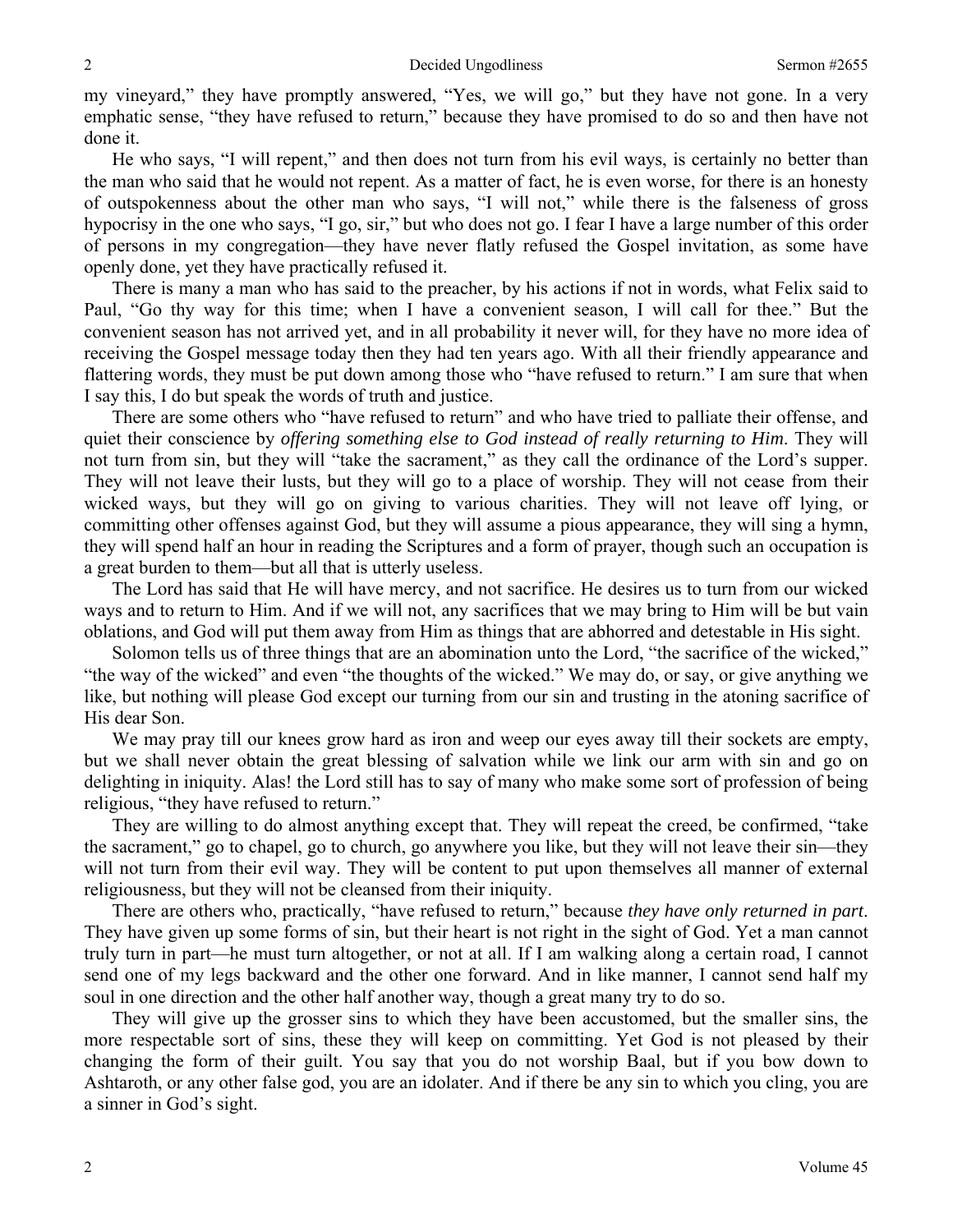my vineyard," they have promptly answered, "Yes, we will go," but they have not gone. In a very emphatic sense, "they have refused to return," because they have promised to do so and then have not done it.

 He who says, "I will repent," and then does not turn from his evil ways, is certainly no better than the man who said that he would not repent. As a matter of fact, he is even worse, for there is an honesty of outspokenness about the other man who says, "I will not," while there is the falseness of gross hypocrisy in the one who says, "I go, sir," but who does not go. I fear I have a large number of this order of persons in my congregation—they have never flatly refused the Gospel invitation, as some have openly done, yet they have practically refused it.

 There is many a man who has said to the preacher, by his actions if not in words, what Felix said to Paul, "Go thy way for this time; when I have a convenient season, I will call for thee." But the convenient season has not arrived yet, and in all probability it never will, for they have no more idea of receiving the Gospel message today then they had ten years ago. With all their friendly appearance and flattering words, they must be put down among those who "have refused to return." I am sure that when I say this, I do but speak the words of truth and justice.

There are some others who "have refused to return" and who have tried to palliate their offense, and quiet their conscience by *offering something else to God instead of really returning to Him*. They will not turn from sin, but they will "take the sacrament," as they call the ordinance of the Lord's supper. They will not leave their lusts, but they will go to a place of worship. They will not cease from their wicked ways, but they will go on giving to various charities. They will not leave off lying, or committing other offenses against God, but they will assume a pious appearance, they will sing a hymn, they will spend half an hour in reading the Scriptures and a form of prayer, though such an occupation is a great burden to them—but all that is utterly useless.

 The Lord has said that He will have mercy, and not sacrifice. He desires us to turn from our wicked ways and to return to Him. And if we will not, any sacrifices that we may bring to Him will be but vain oblations, and God will put them away from Him as things that are abhorred and detestable in His sight.

 Solomon tells us of three things that are an abomination unto the Lord, "the sacrifice of the wicked," "the way of the wicked" and even "the thoughts of the wicked." We may do, or say, or give anything we like, but nothing will please God except our turning from our sin and trusting in the atoning sacrifice of His dear Son.

We may pray till our knees grow hard as iron and weep our eyes away till their sockets are empty, but we shall never obtain the great blessing of salvation while we link our arm with sin and go on delighting in iniquity. Alas! the Lord still has to say of many who make some sort of profession of being religious, "they have refused to return."

 They are willing to do almost anything except that. They will repeat the creed, be confirmed, "take the sacrament," go to chapel, go to church, go anywhere you like, but they will not leave their sin—they will not turn from their evil way. They will be content to put upon themselves all manner of external religiousness, but they will not be cleansed from their iniquity.

 There are others who, practically, "have refused to return," because *they have only returned in part*. They have given up some forms of sin, but their heart is not right in the sight of God. Yet a man cannot truly turn in part—he must turn altogether, or not at all. If I am walking along a certain road, I cannot send one of my legs backward and the other one forward. And in like manner, I cannot send half my soul in one direction and the other half another way, though a great many try to do so.

 They will give up the grosser sins to which they have been accustomed, but the smaller sins, the more respectable sort of sins, these they will keep on committing. Yet God is not pleased by their changing the form of their guilt. You say that you do not worship Baal, but if you bow down to Ashtaroth, or any other false god, you are an idolater. And if there be any sin to which you cling, you are a sinner in God's sight.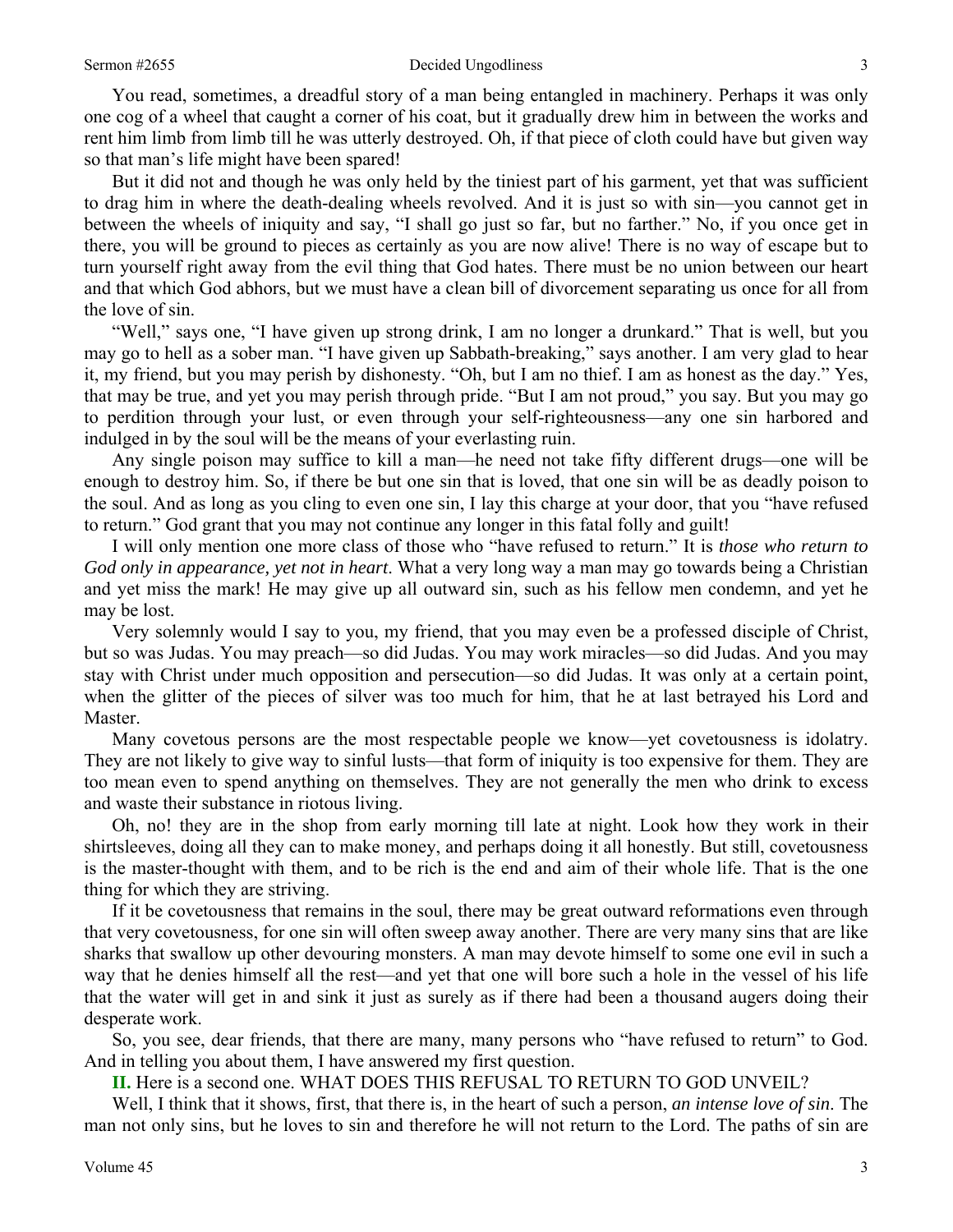You read, sometimes, a dreadful story of a man being entangled in machinery. Perhaps it was only one cog of a wheel that caught a corner of his coat, but it gradually drew him in between the works and rent him limb from limb till he was utterly destroyed. Oh, if that piece of cloth could have but given way so that man's life might have been spared!

 But it did not and though he was only held by the tiniest part of his garment, yet that was sufficient to drag him in where the death-dealing wheels revolved. And it is just so with sin—you cannot get in between the wheels of iniquity and say, "I shall go just so far, but no farther." No, if you once get in there, you will be ground to pieces as certainly as you are now alive! There is no way of escape but to turn yourself right away from the evil thing that God hates. There must be no union between our heart and that which God abhors, but we must have a clean bill of divorcement separating us once for all from the love of sin.

 "Well," says one, "I have given up strong drink, I am no longer a drunkard." That is well, but you may go to hell as a sober man. "I have given up Sabbath-breaking," says another. I am very glad to hear it, my friend, but you may perish by dishonesty. "Oh, but I am no thief. I am as honest as the day." Yes, that may be true, and yet you may perish through pride. "But I am not proud," you say. But you may go to perdition through your lust, or even through your self-righteousness—any one sin harbored and indulged in by the soul will be the means of your everlasting ruin.

 Any single poison may suffice to kill a man—he need not take fifty different drugs—one will be enough to destroy him. So, if there be but one sin that is loved, that one sin will be as deadly poison to the soul. And as long as you cling to even one sin, I lay this charge at your door, that you "have refused to return." God grant that you may not continue any longer in this fatal folly and guilt!

 I will only mention one more class of those who "have refused to return." It is *those who return to God only in appearance, yet not in heart*. What a very long way a man may go towards being a Christian and yet miss the mark! He may give up all outward sin, such as his fellow men condemn, and yet he may be lost.

 Very solemnly would I say to you, my friend, that you may even be a professed disciple of Christ, but so was Judas. You may preach—so did Judas. You may work miracles—so did Judas. And you may stay with Christ under much opposition and persecution—so did Judas. It was only at a certain point, when the glitter of the pieces of silver was too much for him, that he at last betrayed his Lord and Master.

 Many covetous persons are the most respectable people we know—yet covetousness is idolatry. They are not likely to give way to sinful lusts—that form of iniquity is too expensive for them. They are too mean even to spend anything on themselves. They are not generally the men who drink to excess and waste their substance in riotous living.

 Oh, no! they are in the shop from early morning till late at night. Look how they work in their shirtsleeves, doing all they can to make money, and perhaps doing it all honestly. But still, covetousness is the master-thought with them, and to be rich is the end and aim of their whole life. That is the one thing for which they are striving.

 If it be covetousness that remains in the soul, there may be great outward reformations even through that very covetousness, for one sin will often sweep away another. There are very many sins that are like sharks that swallow up other devouring monsters. A man may devote himself to some one evil in such a way that he denies himself all the rest—and yet that one will bore such a hole in the vessel of his life that the water will get in and sink it just as surely as if there had been a thousand augers doing their desperate work.

 So, you see, dear friends, that there are many, many persons who "have refused to return" to God. And in telling you about them, I have answered my first question.

**II.** Here is a second one. WHAT DOES THIS REFUSAL TO RETURN TO GOD UNVEIL?

 Well, I think that it shows, first, that there is, in the heart of such a person, *an intense love of sin*. The man not only sins, but he loves to sin and therefore he will not return to the Lord. The paths of sin are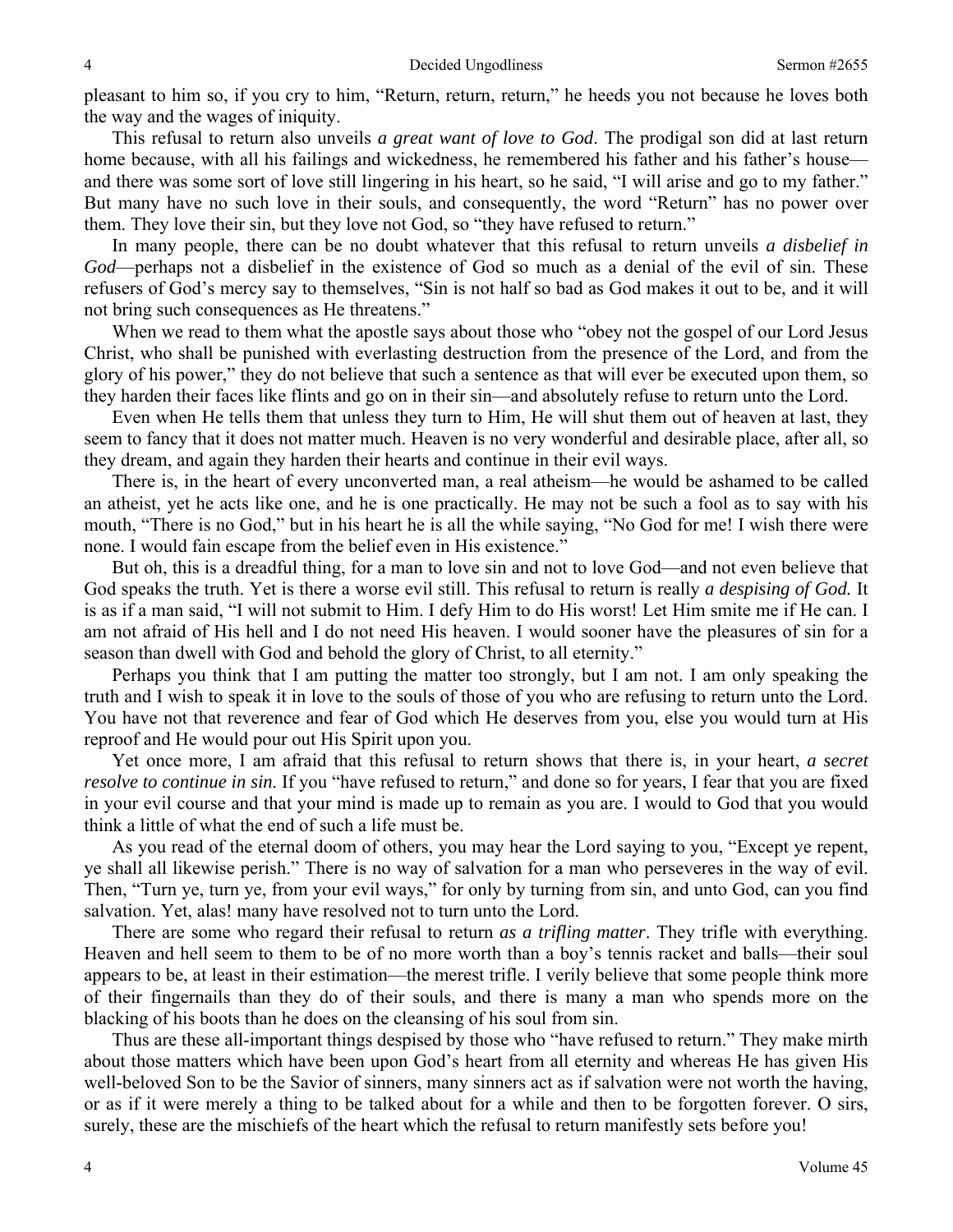pleasant to him so, if you cry to him, "Return, return, return," he heeds you not because he loves both the way and the wages of iniquity.

 This refusal to return also unveils *a great want of love to God*. The prodigal son did at last return home because, with all his failings and wickedness, he remembered his father and his father's house and there was some sort of love still lingering in his heart, so he said, "I will arise and go to my father." But many have no such love in their souls, and consequently, the word "Return" has no power over them. They love their sin, but they love not God, so "they have refused to return."

 In many people, there can be no doubt whatever that this refusal to return unveils *a disbelief in God*—perhaps not a disbelief in the existence of God so much as a denial of the evil of sin. These refusers of God's mercy say to themselves, "Sin is not half so bad as God makes it out to be, and it will not bring such consequences as He threatens."

When we read to them what the apostle says about those who "obey not the gospel of our Lord Jesus Christ, who shall be punished with everlasting destruction from the presence of the Lord, and from the glory of his power," they do not believe that such a sentence as that will ever be executed upon them, so they harden their faces like flints and go on in their sin—and absolutely refuse to return unto the Lord.

 Even when He tells them that unless they turn to Him, He will shut them out of heaven at last, they seem to fancy that it does not matter much. Heaven is no very wonderful and desirable place, after all, so they dream, and again they harden their hearts and continue in their evil ways.

 There is, in the heart of every unconverted man, a real atheism—he would be ashamed to be called an atheist, yet he acts like one, and he is one practically. He may not be such a fool as to say with his mouth, "There is no God," but in his heart he is all the while saying, "No God for me! I wish there were none. I would fain escape from the belief even in His existence."

 But oh, this is a dreadful thing, for a man to love sin and not to love God—and not even believe that God speaks the truth. Yet is there a worse evil still. This refusal to return is really *a despising of God.* It is as if a man said, "I will not submit to Him. I defy Him to do His worst! Let Him smite me if He can. I am not afraid of His hell and I do not need His heaven. I would sooner have the pleasures of sin for a season than dwell with God and behold the glory of Christ, to all eternity."

 Perhaps you think that I am putting the matter too strongly, but I am not. I am only speaking the truth and I wish to speak it in love to the souls of those of you who are refusing to return unto the Lord. You have not that reverence and fear of God which He deserves from you, else you would turn at His reproof and He would pour out His Spirit upon you.

 Yet once more, I am afraid that this refusal to return shows that there is, in your heart, *a secret resolve to continue in sin*. If you "have refused to return," and done so for years, I fear that you are fixed in your evil course and that your mind is made up to remain as you are. I would to God that you would think a little of what the end of such a life must be.

 As you read of the eternal doom of others, you may hear the Lord saying to you, "Except ye repent, ye shall all likewise perish." There is no way of salvation for a man who perseveres in the way of evil. Then, "Turn ye, turn ye, from your evil ways," for only by turning from sin, and unto God, can you find salvation. Yet, alas! many have resolved not to turn unto the Lord.

 There are some who regard their refusal to return *as a trifling matter*. They trifle with everything. Heaven and hell seem to them to be of no more worth than a boy's tennis racket and balls—their soul appears to be, at least in their estimation—the merest trifle. I verily believe that some people think more of their fingernails than they do of their souls, and there is many a man who spends more on the blacking of his boots than he does on the cleansing of his soul from sin.

 Thus are these all-important things despised by those who "have refused to return." They make mirth about those matters which have been upon God's heart from all eternity and whereas He has given His well-beloved Son to be the Savior of sinners, many sinners act as if salvation were not worth the having, or as if it were merely a thing to be talked about for a while and then to be forgotten forever. O sirs, surely, these are the mischiefs of the heart which the refusal to return manifestly sets before you!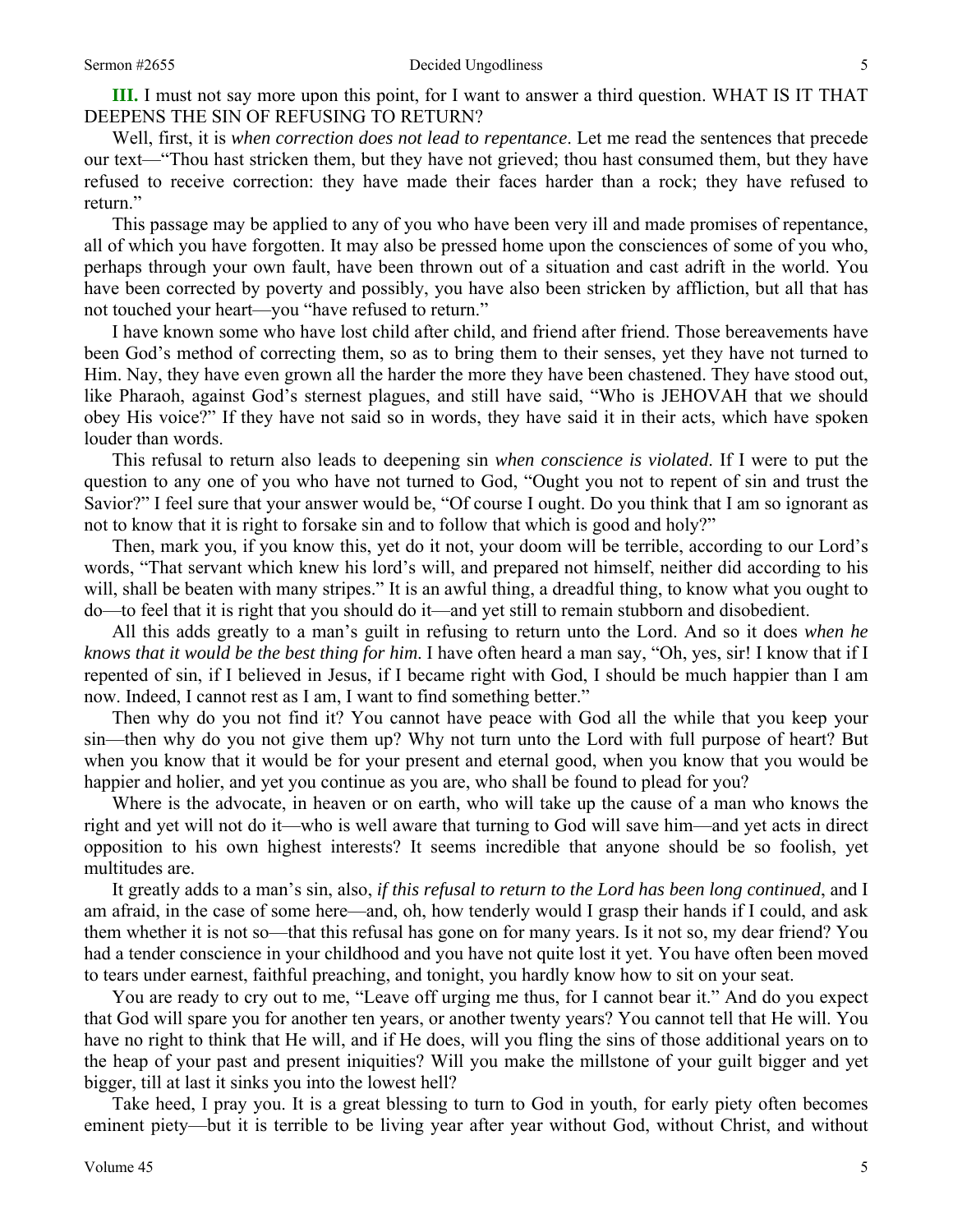Well, first, it is *when correction does not lead to repentance*. Let me read the sentences that precede our text—"Thou hast stricken them, but they have not grieved; thou hast consumed them, but they have refused to receive correction: they have made their faces harder than a rock; they have refused to return."

 This passage may be applied to any of you who have been very ill and made promises of repentance, all of which you have forgotten. It may also be pressed home upon the consciences of some of you who, perhaps through your own fault, have been thrown out of a situation and cast adrift in the world. You have been corrected by poverty and possibly, you have also been stricken by affliction, but all that has not touched your heart—you "have refused to return."

 I have known some who have lost child after child, and friend after friend. Those bereavements have been God's method of correcting them, so as to bring them to their senses, yet they have not turned to Him. Nay, they have even grown all the harder the more they have been chastened. They have stood out, like Pharaoh, against God's sternest plagues, and still have said, "Who is JEHOVAH that we should obey His voice?" If they have not said so in words, they have said it in their acts, which have spoken louder than words.

 This refusal to return also leads to deepening sin *when conscience is violated*. If I were to put the question to any one of you who have not turned to God, "Ought you not to repent of sin and trust the Savior?" I feel sure that your answer would be, "Of course I ought. Do you think that I am so ignorant as not to know that it is right to forsake sin and to follow that which is good and holy?"

 Then, mark you, if you know this, yet do it not, your doom will be terrible, according to our Lord's words, "That servant which knew his lord's will, and prepared not himself, neither did according to his will, shall be beaten with many stripes." It is an awful thing, a dreadful thing, to know what you ought to do—to feel that it is right that you should do it—and yet still to remain stubborn and disobedient.

 All this adds greatly to a man's guilt in refusing to return unto the Lord. And so it does *when he knows that it would be the best thing for him*. I have often heard a man say, "Oh, yes, sir! I know that if I repented of sin, if I believed in Jesus, if I became right with God, I should be much happier than I am now. Indeed, I cannot rest as I am, I want to find something better."

 Then why do you not find it? You cannot have peace with God all the while that you keep your sin—then why do you not give them up? Why not turn unto the Lord with full purpose of heart? But when you know that it would be for your present and eternal good, when you know that you would be happier and holier, and yet you continue as you are, who shall be found to plead for you?

 Where is the advocate, in heaven or on earth, who will take up the cause of a man who knows the right and yet will not do it—who is well aware that turning to God will save him—and yet acts in direct opposition to his own highest interests? It seems incredible that anyone should be so foolish, yet multitudes are.

 It greatly adds to a man's sin, also, *if this refusal to return to the Lord has been long continued*, and I am afraid, in the case of some here—and, oh, how tenderly would I grasp their hands if I could, and ask them whether it is not so—that this refusal has gone on for many years. Is it not so, my dear friend? You had a tender conscience in your childhood and you have not quite lost it yet. You have often been moved to tears under earnest, faithful preaching, and tonight, you hardly know how to sit on your seat.

 You are ready to cry out to me, "Leave off urging me thus, for I cannot bear it." And do you expect that God will spare you for another ten years, or another twenty years? You cannot tell that He will. You have no right to think that He will, and if He does, will you fling the sins of those additional years on to the heap of your past and present iniquities? Will you make the millstone of your guilt bigger and yet bigger, till at last it sinks you into the lowest hell?

 Take heed, I pray you. It is a great blessing to turn to God in youth, for early piety often becomes eminent piety—but it is terrible to be living year after year without God, without Christ, and without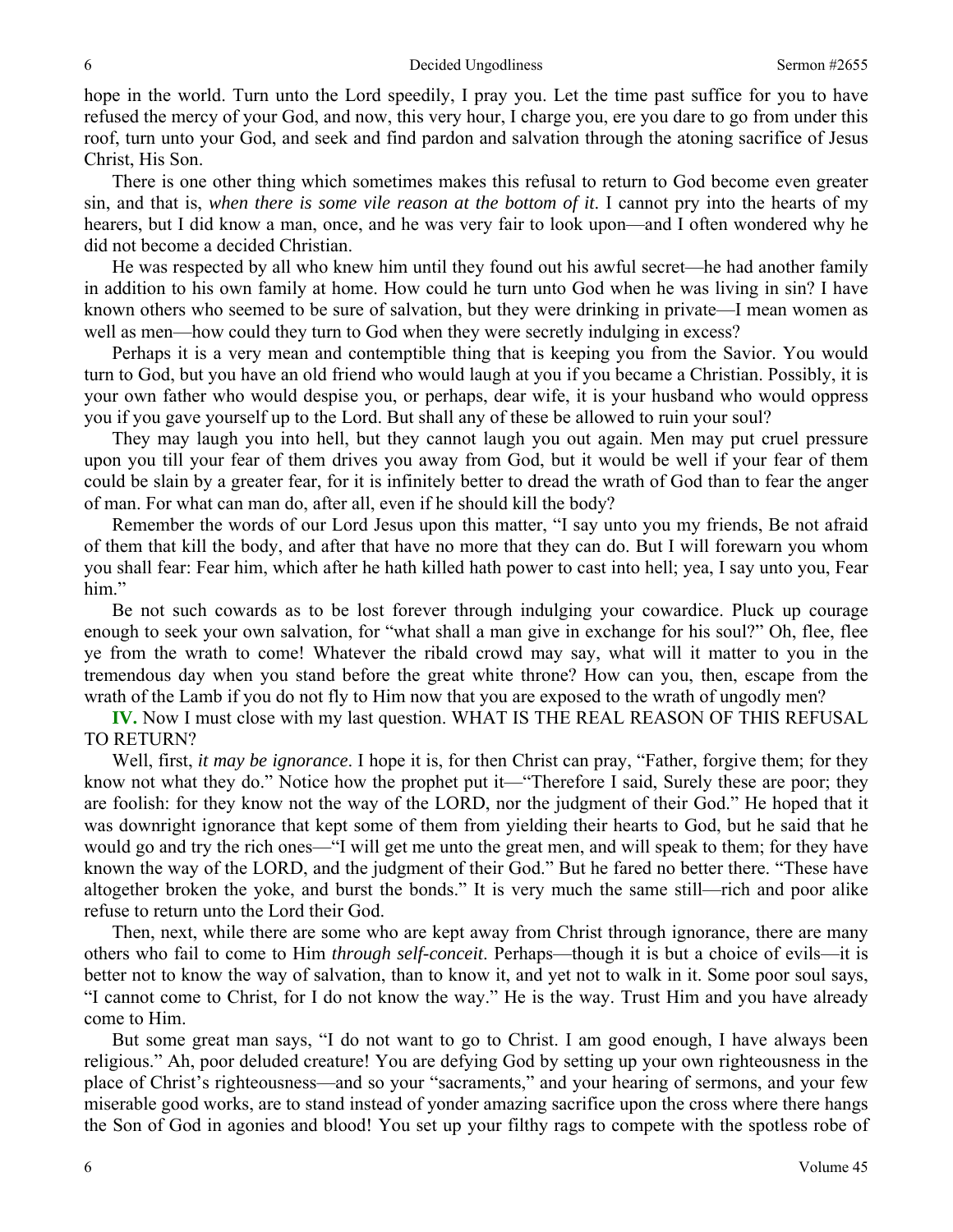hope in the world. Turn unto the Lord speedily, I pray you. Let the time past suffice for you to have refused the mercy of your God, and now, this very hour, I charge you, ere you dare to go from under this roof, turn unto your God, and seek and find pardon and salvation through the atoning sacrifice of Jesus Christ, His Son.

 There is one other thing which sometimes makes this refusal to return to God become even greater sin, and that is, *when there is some vile reason at the bottom of it*. I cannot pry into the hearts of my hearers, but I did know a man, once, and he was very fair to look upon—and I often wondered why he did not become a decided Christian.

 He was respected by all who knew him until they found out his awful secret—he had another family in addition to his own family at home. How could he turn unto God when he was living in sin? I have known others who seemed to be sure of salvation, but they were drinking in private—I mean women as well as men—how could they turn to God when they were secretly indulging in excess?

 Perhaps it is a very mean and contemptible thing that is keeping you from the Savior. You would turn to God, but you have an old friend who would laugh at you if you became a Christian. Possibly, it is your own father who would despise you, or perhaps, dear wife, it is your husband who would oppress you if you gave yourself up to the Lord. But shall any of these be allowed to ruin your soul?

 They may laugh you into hell, but they cannot laugh you out again. Men may put cruel pressure upon you till your fear of them drives you away from God, but it would be well if your fear of them could be slain by a greater fear, for it is infinitely better to dread the wrath of God than to fear the anger of man. For what can man do, after all, even if he should kill the body?

 Remember the words of our Lord Jesus upon this matter, "I say unto you my friends, Be not afraid of them that kill the body, and after that have no more that they can do. But I will forewarn you whom you shall fear: Fear him, which after he hath killed hath power to cast into hell; yea, I say unto you, Fear him."

 Be not such cowards as to be lost forever through indulging your cowardice. Pluck up courage enough to seek your own salvation, for "what shall a man give in exchange for his soul?" Oh, flee, flee ye from the wrath to come! Whatever the ribald crowd may say, what will it matter to you in the tremendous day when you stand before the great white throne? How can you, then, escape from the wrath of the Lamb if you do not fly to Him now that you are exposed to the wrath of ungodly men?

**IV.** Now I must close with my last question. WHAT IS THE REAL REASON OF THIS REFUSAL TO RETURN?

 Well, first, *it may be ignorance*. I hope it is, for then Christ can pray, "Father, forgive them; for they know not what they do." Notice how the prophet put it—"Therefore I said, Surely these are poor; they are foolish: for they know not the way of the LORD, nor the judgment of their God." He hoped that it was downright ignorance that kept some of them from yielding their hearts to God, but he said that he would go and try the rich ones—"I will get me unto the great men, and will speak to them; for they have known the way of the LORD, and the judgment of their God." But he fared no better there. "These have altogether broken the yoke, and burst the bonds." It is very much the same still—rich and poor alike refuse to return unto the Lord their God.

 Then, next, while there are some who are kept away from Christ through ignorance, there are many others who fail to come to Him *through self-conceit*. Perhaps—though it is but a choice of evils—it is better not to know the way of salvation, than to know it, and yet not to walk in it. Some poor soul says, "I cannot come to Christ, for I do not know the way." He is the way. Trust Him and you have already come to Him.

 But some great man says, "I do not want to go to Christ. I am good enough, I have always been religious." Ah, poor deluded creature! You are defying God by setting up your own righteousness in the place of Christ's righteousness—and so your "sacraments," and your hearing of sermons, and your few miserable good works, are to stand instead of yonder amazing sacrifice upon the cross where there hangs the Son of God in agonies and blood! You set up your filthy rags to compete with the spotless robe of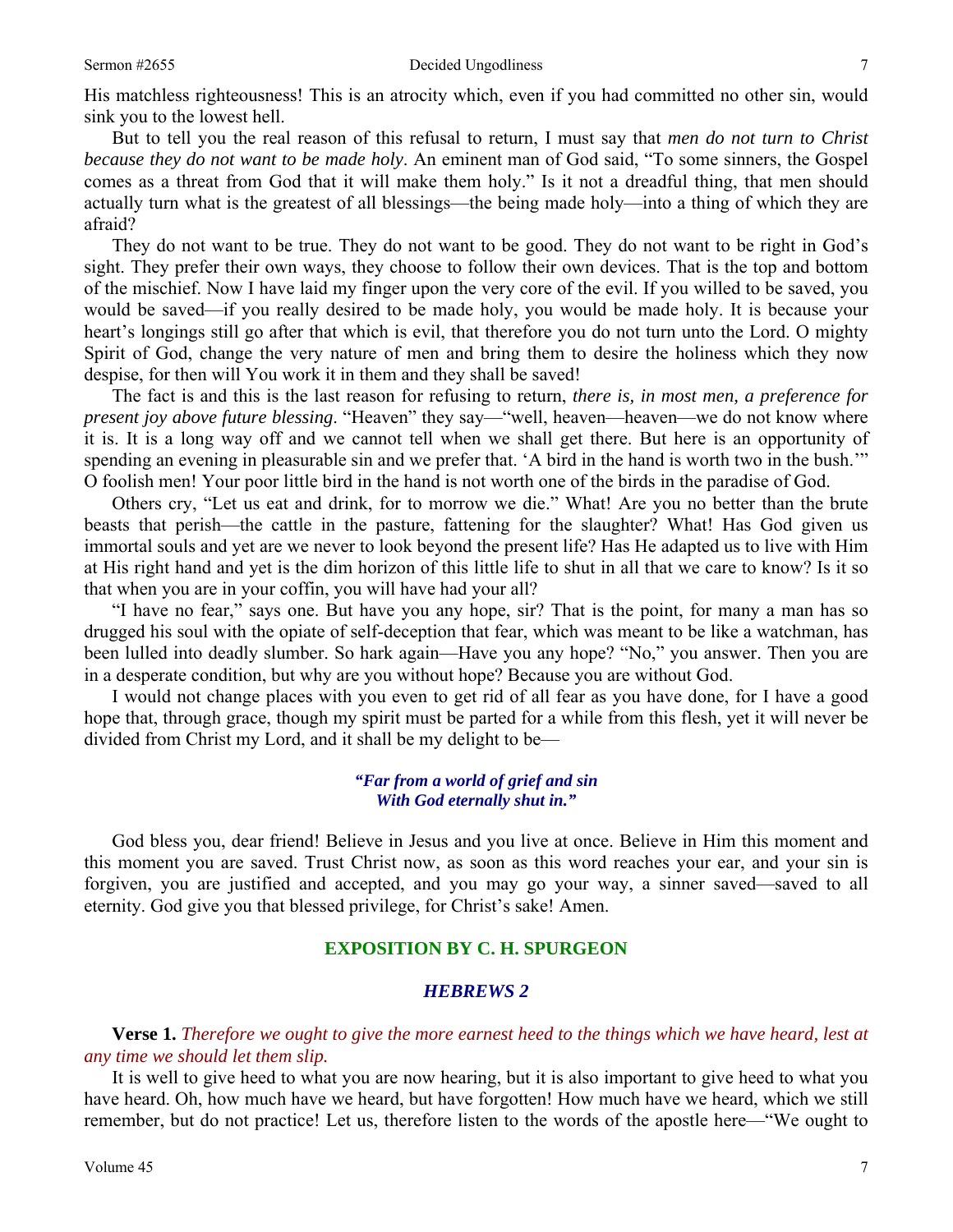His matchless righteousness! This is an atrocity which, even if you had committed no other sin, would sink you to the lowest hell.

 But to tell you the real reason of this refusal to return, I must say that *men do not turn to Christ because they do not want to be made holy*. An eminent man of God said, "To some sinners, the Gospel comes as a threat from God that it will make them holy." Is it not a dreadful thing, that men should actually turn what is the greatest of all blessings—the being made holy—into a thing of which they are afraid?

 They do not want to be true. They do not want to be good. They do not want to be right in God's sight. They prefer their own ways, they choose to follow their own devices. That is the top and bottom of the mischief. Now I have laid my finger upon the very core of the evil. If you willed to be saved, you would be saved—if you really desired to be made holy, you would be made holy. It is because your heart's longings still go after that which is evil, that therefore you do not turn unto the Lord. O mighty Spirit of God, change the very nature of men and bring them to desire the holiness which they now despise, for then will You work it in them and they shall be saved!

 The fact is and this is the last reason for refusing to return, *there is, in most men, a preference for present joy above future blessing*. "Heaven" they say—"well, heaven—heaven—we do not know where it is. It is a long way off and we cannot tell when we shall get there. But here is an opportunity of spending an evening in pleasurable sin and we prefer that. 'A bird in the hand is worth two in the bush.'" O foolish men! Your poor little bird in the hand is not worth one of the birds in the paradise of God.

 Others cry, "Let us eat and drink, for to morrow we die." What! Are you no better than the brute beasts that perish—the cattle in the pasture, fattening for the slaughter? What! Has God given us immortal souls and yet are we never to look beyond the present life? Has He adapted us to live with Him at His right hand and yet is the dim horizon of this little life to shut in all that we care to know? Is it so that when you are in your coffin, you will have had your all?

 "I have no fear," says one. But have you any hope, sir? That is the point, for many a man has so drugged his soul with the opiate of self-deception that fear, which was meant to be like a watchman, has been lulled into deadly slumber. So hark again—Have you any hope? "No," you answer. Then you are in a desperate condition, but why are you without hope? Because you are without God.

 I would not change places with you even to get rid of all fear as you have done, for I have a good hope that, through grace, though my spirit must be parted for a while from this flesh, yet it will never be divided from Christ my Lord, and it shall be my delight to be—

#### *"Far from a world of grief and sin With God eternally shut in."*

God bless you, dear friend! Believe in Jesus and you live at once. Believe in Him this moment and this moment you are saved. Trust Christ now, as soon as this word reaches your ear, and your sin is forgiven, you are justified and accepted, and you may go your way, a sinner saved—saved to all eternity. God give you that blessed privilege, for Christ's sake! Amen.

#### **EXPOSITION BY C. H. SPURGEON**

#### *HEBREWS 2*

**Verse 1.** *Therefore we ought to give the more earnest heed to the things which we have heard, lest at any time we should let them slip.* 

It is well to give heed to what you are now hearing, but it is also important to give heed to what you have heard. Oh, how much have we heard, but have forgotten! How much have we heard, which we still remember, but do not practice! Let us, therefore listen to the words of the apostle here—"We ought to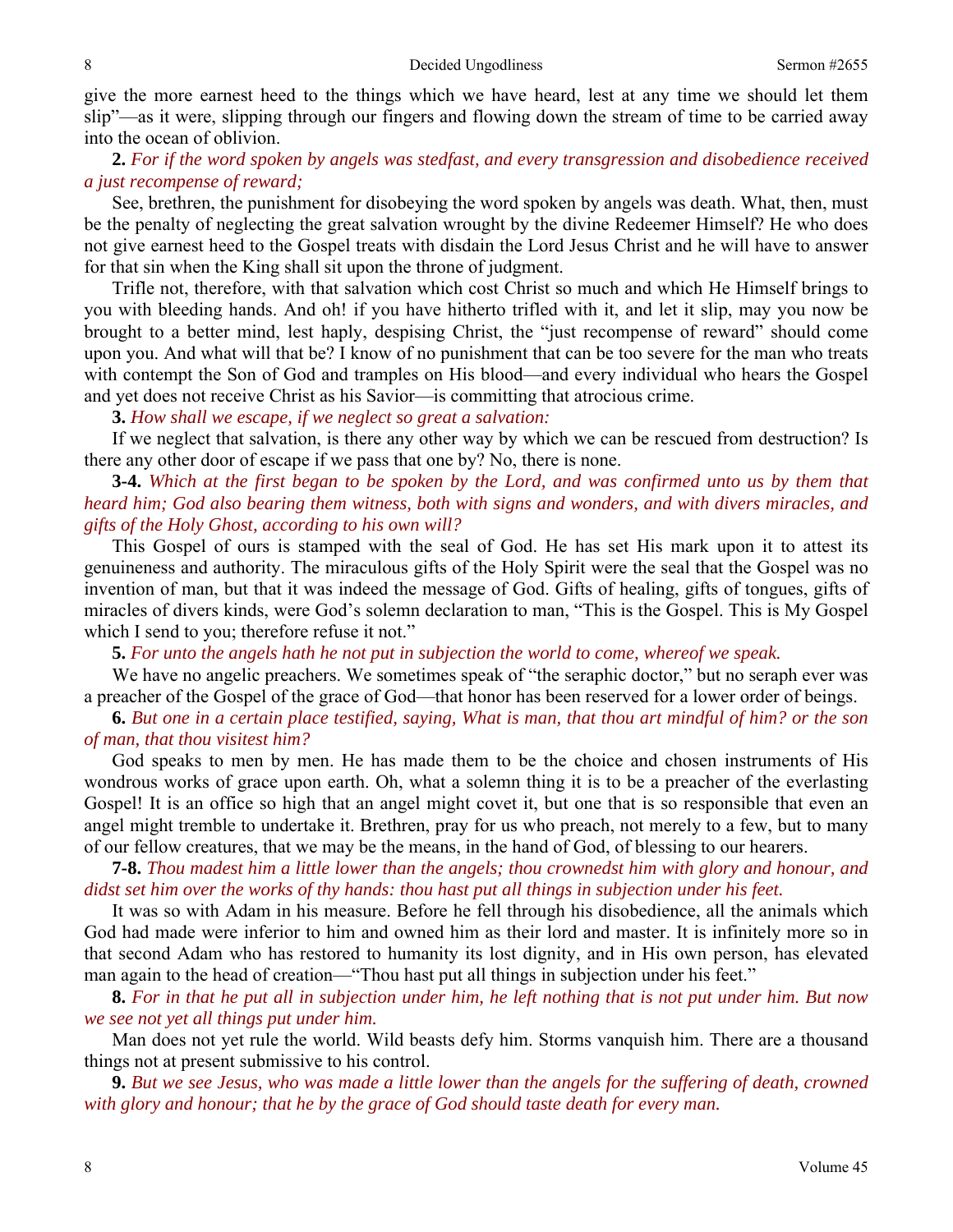give the more earnest heed to the things which we have heard, lest at any time we should let them slip"—as it were, slipping through our fingers and flowing down the stream of time to be carried away into the ocean of oblivion.

## **2.** *For if the word spoken by angels was stedfast, and every transgression and disobedience received a just recompense of reward;*

See, brethren, the punishment for disobeying the word spoken by angels was death. What, then, must be the penalty of neglecting the great salvation wrought by the divine Redeemer Himself? He who does not give earnest heed to the Gospel treats with disdain the Lord Jesus Christ and he will have to answer for that sin when the King shall sit upon the throne of judgment.

 Trifle not, therefore, with that salvation which cost Christ so much and which He Himself brings to you with bleeding hands. And oh! if you have hitherto trifled with it, and let it slip, may you now be brought to a better mind, lest haply, despising Christ, the "just recompense of reward" should come upon you. And what will that be? I know of no punishment that can be too severe for the man who treats with contempt the Son of God and tramples on His blood—and every individual who hears the Gospel and yet does not receive Christ as his Savior—is committing that atrocious crime.

**3.** *How shall we escape, if we neglect so great a salvation:* 

If we neglect that salvation, is there any other way by which we can be rescued from destruction? Is there any other door of escape if we pass that one by? No, there is none.

**3-4.** *Which at the first began to be spoken by the Lord, and was confirmed unto us by them that heard him; God also bearing them witness, both with signs and wonders, and with divers miracles, and gifts of the Holy Ghost, according to his own will?* 

This Gospel of ours is stamped with the seal of God. He has set His mark upon it to attest its genuineness and authority. The miraculous gifts of the Holy Spirit were the seal that the Gospel was no invention of man, but that it was indeed the message of God. Gifts of healing, gifts of tongues, gifts of miracles of divers kinds, were God's solemn declaration to man, "This is the Gospel. This is My Gospel which I send to you; therefore refuse it not."

**5.** *For unto the angels hath he not put in subjection the world to come, whereof we speak.* 

We have no angelic preachers. We sometimes speak of "the seraphic doctor," but no seraph ever was a preacher of the Gospel of the grace of God—that honor has been reserved for a lower order of beings.

**6.** *But one in a certain place testified, saying, What is man, that thou art mindful of him? or the son of man, that thou visitest him?* 

God speaks to men by men. He has made them to be the choice and chosen instruments of His wondrous works of grace upon earth. Oh, what a solemn thing it is to be a preacher of the everlasting Gospel! It is an office so high that an angel might covet it, but one that is so responsible that even an angel might tremble to undertake it. Brethren, pray for us who preach, not merely to a few, but to many of our fellow creatures, that we may be the means, in the hand of God, of blessing to our hearers.

**7-8.** *Thou madest him a little lower than the angels; thou crownedst him with glory and honour, and didst set him over the works of thy hands: thou hast put all things in subjection under his feet.* 

It was so with Adam in his measure. Before he fell through his disobedience, all the animals which God had made were inferior to him and owned him as their lord and master. It is infinitely more so in that second Adam who has restored to humanity its lost dignity, and in His own person, has elevated man again to the head of creation—"Thou hast put all things in subjection under his feet."

**8.** *For in that he put all in subjection under him, he left nothing that is not put under him. But now we see not yet all things put under him.* 

Man does not yet rule the world. Wild beasts defy him. Storms vanquish him. There are a thousand things not at present submissive to his control.

**9.** *But we see Jesus, who was made a little lower than the angels for the suffering of death, crowned with glory and honour; that he by the grace of God should taste death for every man.*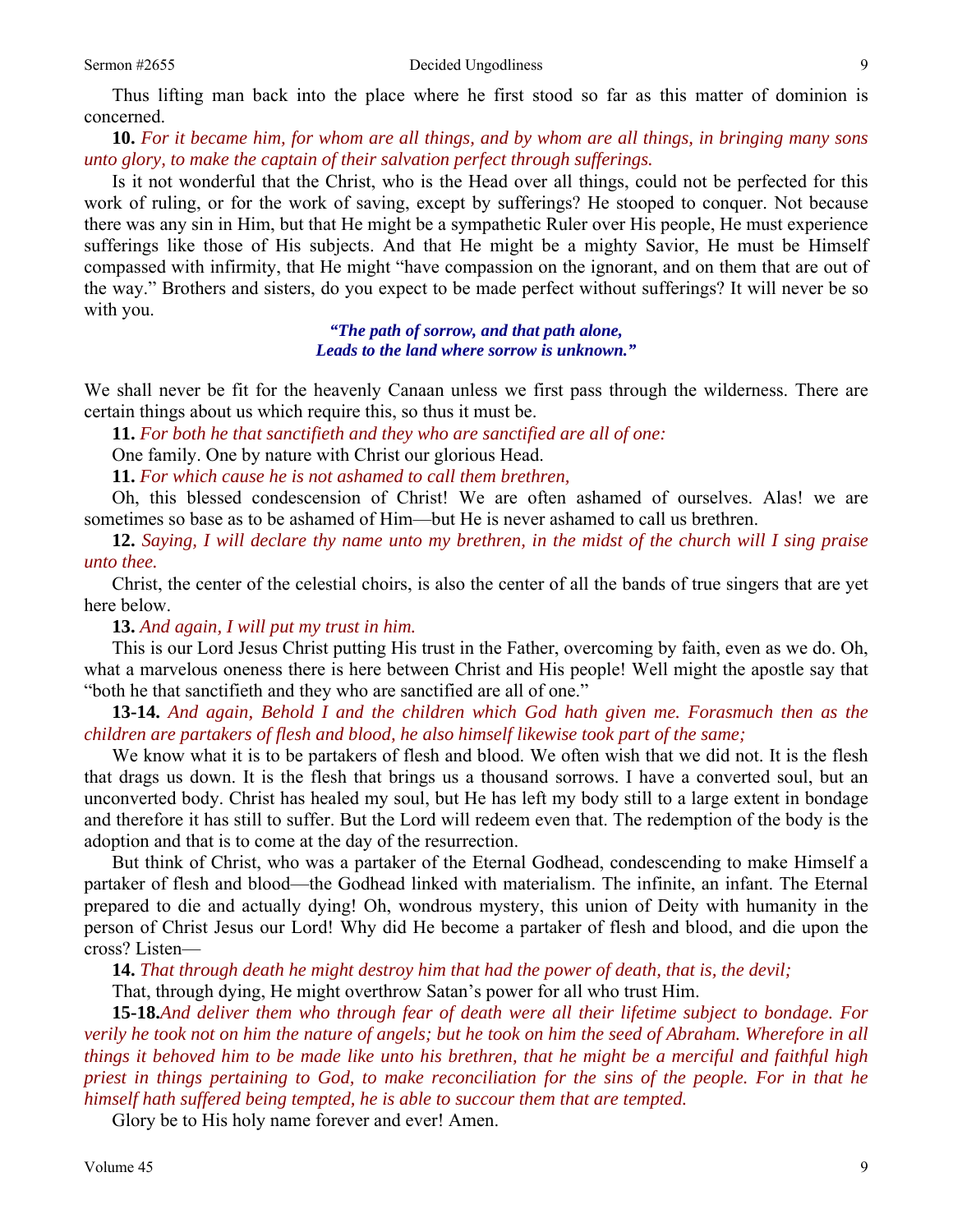Thus lifting man back into the place where he first stood so far as this matter of dominion is concerned.

**10.** *For it became him, for whom are all things, and by whom are all things, in bringing many sons unto glory, to make the captain of their salvation perfect through sufferings.* 

Is it not wonderful that the Christ, who is the Head over all things, could not be perfected for this work of ruling, or for the work of saving, except by sufferings? He stooped to conquer. Not because there was any sin in Him, but that He might be a sympathetic Ruler over His people, He must experience sufferings like those of His subjects. And that He might be a mighty Savior, He must be Himself compassed with infirmity, that He might "have compassion on the ignorant, and on them that are out of the way." Brothers and sisters, do you expect to be made perfect without sufferings? It will never be so with you.

> *"The path of sorrow, and that path alone, Leads to the land where sorrow is unknown."*

We shall never be fit for the heavenly Canaan unless we first pass through the wilderness. There are certain things about us which require this, so thus it must be.

**11.** *For both he that sanctifieth and they who are sanctified are all of one:* 

One family. One by nature with Christ our glorious Head.

**11.** *For which cause he is not ashamed to call them brethren,* 

Oh, this blessed condescension of Christ! We are often ashamed of ourselves. Alas! we are sometimes so base as to be ashamed of Him—but He is never ashamed to call us brethren.

**12.** *Saying, I will declare thy name unto my brethren, in the midst of the church will I sing praise unto thee.* 

Christ, the center of the celestial choirs, is also the center of all the bands of true singers that are yet here below.

**13.** *And again, I will put my trust in him.* 

This is our Lord Jesus Christ putting His trust in the Father, overcoming by faith, even as we do. Oh, what a marvelous oneness there is here between Christ and His people! Well might the apostle say that "both he that sanctifieth and they who are sanctified are all of one."

**13-14.** *And again, Behold I and the children which God hath given me. Forasmuch then as the children are partakers of flesh and blood, he also himself likewise took part of the same;* 

We know what it is to be partakers of flesh and blood. We often wish that we did not. It is the flesh that drags us down. It is the flesh that brings us a thousand sorrows. I have a converted soul, but an unconverted body. Christ has healed my soul, but He has left my body still to a large extent in bondage and therefore it has still to suffer. But the Lord will redeem even that. The redemption of the body is the adoption and that is to come at the day of the resurrection.

 But think of Christ, who was a partaker of the Eternal Godhead, condescending to make Himself a partaker of flesh and blood—the Godhead linked with materialism. The infinite, an infant. The Eternal prepared to die and actually dying! Oh, wondrous mystery, this union of Deity with humanity in the person of Christ Jesus our Lord! Why did He become a partaker of flesh and blood, and die upon the cross? Listen—

**14.** *That through death he might destroy him that had the power of death, that is, the devil;* 

That, through dying, He might overthrow Satan's power for all who trust Him.

**15-18.***And deliver them who through fear of death were all their lifetime subject to bondage. For verily he took not on him the nature of angels; but he took on him the seed of Abraham. Wherefore in all things it behoved him to be made like unto his brethren, that he might be a merciful and faithful high priest in things pertaining to God, to make reconciliation for the sins of the people. For in that he himself hath suffered being tempted, he is able to succour them that are tempted.* 

Glory be to His holy name forever and ever! Amen.